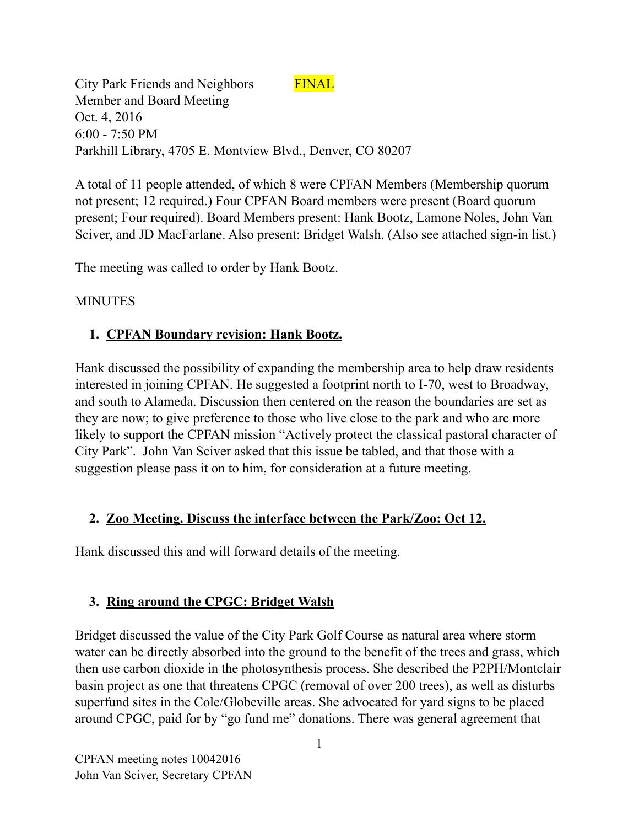City Park Friends and Neighbors FINAL Member and Board Meeting Oct. 4, 2016 6:00 - 7:50 PM Parkhill Library, 4705 E. Montview Blvd., Denver, CO 80207

A total of 11 people attended, of which 8 were CPFAN Members (Membership quorum not present; 12 required.) Four CPFAN Board members were present (Board quorum present; Four required). Board Members present: Hank Bootz, Lamone Noles, John Van Sciver, and JD MacFarlane. Also present: Bridget Walsh. (Also see attached sign-in list.)

The meeting was called to order by Hank Bootz.

#### MINUTES

# **1. CPFAN Boundary revision: Hank Bootz.**

Hank discussed the possibility of expanding the membership area to help draw residents interested in joining CPFAN. He suggested a footprint north to I-70, west to Broadway, and south to Alameda. Discussion then centered on the reason the boundaries are set as they are now; to give preference to those who live close to the park and who are more likely to support the CPFAN mission "Actively protect the classical pastoral character of City Park". John Van Sciver asked that this issue be tabled, and that those with a suggestion please pass it on to him, for consideration at a future meeting.

# **2. Zoo Meeting. Discuss the interface between the Park/Zoo: Oct 12.**

Hank discussed this and will forward details of the meeting.

# **3. Ring around the CPGC: Bridget Walsh**

Bridget discussed the value of the City Park Golf Course as natural area where storm water can be directly absorbed into the ground to the benefit of the trees and grass, which then use carbon dioxide in the photosynthesis process. She described the P2PH/Montclair basin project as one that threatens CPGC (removal of over 200 trees), as well as disturbs superfund sites in the Cole/Globeville areas. She advocated for yard signs to be placed around CPGC, paid for by "go fund me" donations. There was general agreement that